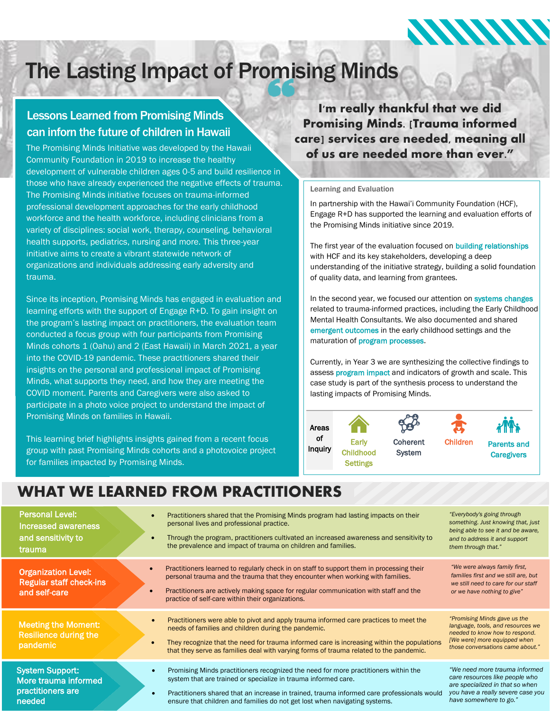# The Lasting Impact of Promising Minds

### Lessons Learned from Promising Minds can inforn the future of children in Hawaii

The Promising Minds Initiative was developed by the Hawaii Community Foundation in 2019 to increase the healthy development of vulnerable children ages 0-5 and build resilience in those who have already experienced the negative effects of trauma. The Promising Minds initiative focuses on trauma-informed professional development approaches for the early childhood workforce and the health workforce, including clinicians from a variety of disciplines: social work, therapy, counseling, behavioral health supports, pediatrics, nursing and more. This three-year initiative aims to create a vibrant statewide network of organizations and individuals addressing early adversity and trauma.

Since its inception, Promising Minds has engaged in evaluation and learning efforts with the support of Engage R+D. To gain insight on the program's lasting impact on practitioners, the evaluation team conducted a focus group with four participants from Promising Minds cohorts 1 (Oahu) and 2 (East Hawaii) in March 2021, a year into the COVID-19 pandemic. These practitioners shared their insights on the personal and professional impact of Promising Minds, what supports they need, and how they are meeting the COVID moment. Parents and Caregivers were also asked to participate in a photo voice project to understand the impact of Promising Minds on families in Hawaii.

This learning brief highlights insights gained from a recent focus group with past Promising Minds cohorts and a photovoice project for families impacted by Promising Minds.

I'm really thankful that we did Promising Minds. [Trauma informed care] services are needed, meaning all of us are needed more than ever."

#### Learning and Evaluation

In partnership with the Hawai'i Community Foundation (HCF), Engage R+D has supported the learning and evaluation efforts of the Promising Minds initiative since 2019.

The first year of the evaluation focused on **building relationships** with HCF and its key stakeholders, developing a deep understanding of the initiative strategy, building a solid foundation of quality data, and learning from grantees.

In the second year, we focused our attention on systems changes related to trauma-informed practices, including the Early Childhood Mental Health Consultants. We also documented and shared emergent outcomes in the early childhood settings and the maturation of program processes.

Currently, in Year 3 we are synthesizing the collective findings to assess program impact and indicators of growth and scale. This case study is part of the synthesis process to understand the lasting impacts of Promising Minds.



## WHAT WE LEARNED FROM PRACTITIONERS

| <b>Personal Level:</b><br><b>Increased awareness</b><br>and sensitivity to<br>trauma | Practitioners shared that the Promising Minds program had lasting impacts on their<br>personal lives and professional practice.<br>Through the program, practitioners cultivated an increased awareness and sensitivity to<br>the prevalence and impact of trauma on children and families.                                                                    | "Everybody's going through<br>something. Just knowing that, just<br>being able to see it and be aware,<br>and to address it and support<br>them through that."          |
|--------------------------------------------------------------------------------------|----------------------------------------------------------------------------------------------------------------------------------------------------------------------------------------------------------------------------------------------------------------------------------------------------------------------------------------------------------------|-------------------------------------------------------------------------------------------------------------------------------------------------------------------------|
| <b>Organization Level:</b><br><b>Regular staff check-ins</b><br>and self-care        | Practitioners learned to regularly check in on staff to support them in processing their<br>personal trauma and the trauma that they encounter when working with families.<br>Practitioners are actively making space for regular communication with staff and the<br>practice of self-care within their organizations.                                        | "We were always family first,<br>families first and we still are, but<br>we still need to care for our staff<br>or we have nothing to give"                             |
| <b>Meeting the Moment:</b><br>Resilience during the<br>pandemic                      | Practitioners were able to pivot and apply trauma informed care practices to meet the<br>$\bullet$<br>needs of families and children during the pandemic.<br>They recognize that the need for trauma informed care is increasing within the populations<br>$\bullet$<br>that they serve as families deal with varying forms of trauma related to the pandemic. | "Promising Minds gave us the<br>language, tools, and resources we<br>needed to know how to respond.<br>[We were] more equipped when<br>those conversations came about." |
| <b>System Support:</b><br>More trauma informed<br>practitioners are<br>needed        | Promising Minds practitioners recognized the need for more practitioners within the<br>$\bullet$<br>system that are trained or specialize in trauma informed care.<br>Practitioners shared that an increase in trained, trauma informed care professionals would<br>ensure that children and families do not get lost when navigating systems.                 | "We need more trauma informed<br>care resources like people who<br>are specialized in that so when<br>you have a really severe case you<br>have somewhere to go."       |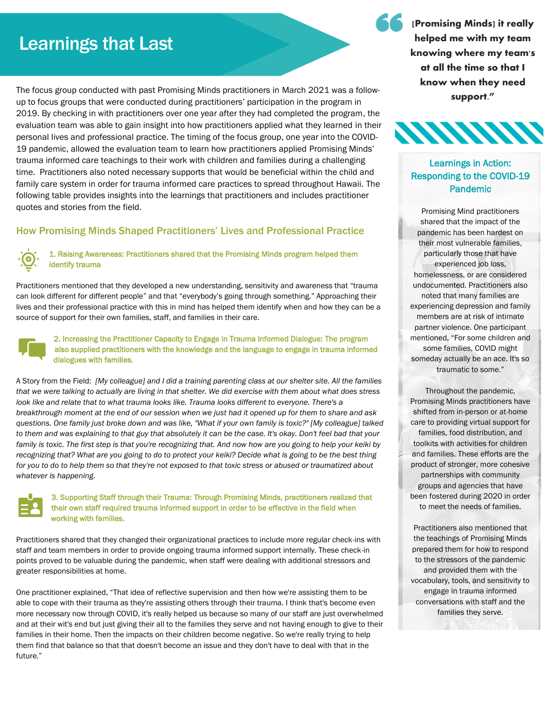# Learnings that Last

The focus group conducted with past Promising Minds practitioners in March 2021 was a followup to focus groups that were conducted during practitioners' participation in the program in 2019. By checking in with practitioners over one year after they had completed the program, the evaluation team was able to gain insight into how practitioners applied what they learned in their personal lives and professional practice. The timing of the focus group, one year into the COVID-19 pandemic, allowed the evaluation team to learn how practitioners applied Promising Minds' trauma informed care teachings to their work with children and families during a challenging time. Practitioners also noted necessary supports that would be beneficial within the child and family care system in order for trauma informed care practices to spread throughout Hawaii. The following table provides insights into the learnings that practitioners and includes practitioner quotes and stories from the field.

#### How Promising Minds Shaped Practitioners' Lives and Professional Practice

#### 1. Raising Awareness: Practitioners shared that the Promising Minds program helped them identify trauma

Practitioners mentioned that they developed a new understanding, sensitivity and awareness that "trauma can look different for different people" and that "everybody's going through something." Approaching their lives and their professional practice with this in mind has helped them identify when and how they can be a source of support for their own families, staff, and families in their care.



#### 2. Increasing the Practitioner Capacity to Engage in Trauma Informed Dialogue: The program also supplied practitioners with the knowledge and the language to engage in trauma informed dialogues with families.

A Story from the Field: *[My colleague] and I did a training parenting class at our shelter site. All the families that we were talking to actually are living in that shelter. We did exercise with them about what does stress look like and relate that to what trauma looks like. Trauma looks different to everyone. There's a breakthrough moment at the end of our session when we just had it opened up for them to share and ask questions. One family just broke down and was like, "What if your own family is toxic?" [My colleague] talked to them and was explaining to that guy that absolutely it can be the case. It's okay. Don't feel bad that your*  family is toxic. The first step is that you're recognizing that. And now how are you going to help your keiki by *recognizing that? What are you going to do to protect your keiki? Decide what is going to be the best thing for you to do to help them so that they're not exposed to that toxic stress or abused or traumatized about whatever is happening.*



#### 3. Supporting Staff through their Trauma: Through Promising Minds, practitioners realized that their own staff required trauma informed support in order to be effective in the field when working with families.

Practitioners shared that they changed their organizational practices to include more regular check-ins with staff and team members in order to provide ongoing trauma informed support internally. These check-in points proved to be valuable during the pandemic, when staff were dealing with additional stressors and greater responsibilities at home.

One practitioner explained, "That idea of reflective supervision and then how we're assisting them to be able to cope with their trauma as they're assisting others through their trauma. I think that's become even more necessary now through COVID, it's really helped us because so many of our staff are just overwhelmed and at their wit's end but just giving their all to the families they serve and not having enough to give to their families in their home. Then the impacts on their children become negative. So we're really trying to help them find that balance so that that doesn't become an issue and they don't have to deal with that in the future."

[Promising Minds] it really helped me with my team knowing where my team's at all the time so that I know when they need support."



### Learnings in Action: Responding to the COVID-19 Pandemic

Promising Mind practitioners shared that the impact of the pandemic has been hardest on their most vulnerable families, particularly those that have experienced job loss, homelessness, or are considered undocumented. Practitioners also noted that many families are experiencing depression and family members are at risk of intimate partner violence. One participant mentioned, "For some children and some families, COVID might someday actually be an ace. It's so traumatic to some."

Throughout the pandemic, Promising Minds practitioners have shifted from in-person or at-home care to providing virtual support for families, food distribution, and toolkits with activities for children and families. These efforts are the product of stronger, more cohesive partnerships with community groups and agencies that have been fostered during 2020 in order to meet the needs of families.

Practitioners also mentioned that the teachings of Promising Minds prepared them for how to respond to the stressors of the pandemic and provided them with the vocabulary, tools, and sensitivity to engage in trauma informed conversations with staff and the families they serve.